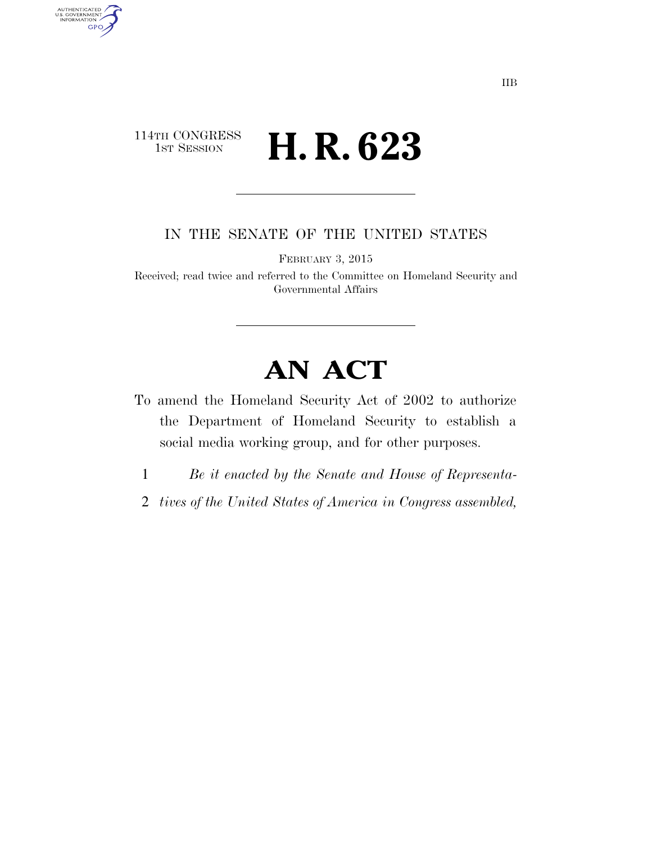## 114TH CONGRESS 1st Session **H. R. 623**

AUTHENTICATED<br>U.S. GOVERNMENT<br>INFORMATION GPO

IN THE SENATE OF THE UNITED STATES

FEBRUARY 3, 2015

Received; read twice and referred to the Committee on Homeland Security and Governmental Affairs

# **AN ACT**

- To amend the Homeland Security Act of 2002 to authorize the Department of Homeland Security to establish a social media working group, and for other purposes.
	- 1 *Be it enacted by the Senate and House of Representa-*
- 2 *tives of the United States of America in Congress assembled,*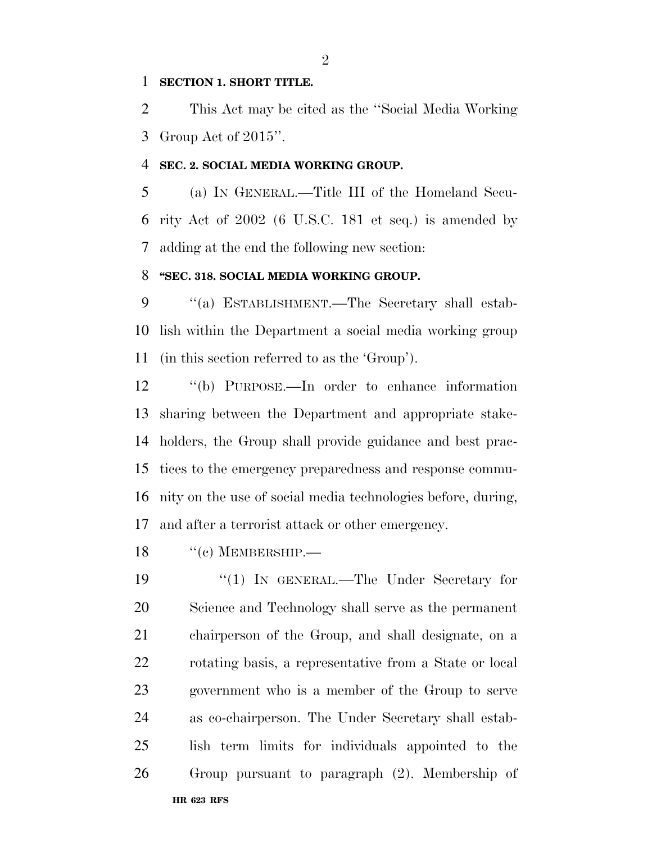#### **SECTION 1. SHORT TITLE.**

 This Act may be cited as the ''Social Media Working Group Act of 2015''.

#### **SEC. 2. SOCIAL MEDIA WORKING GROUP.**

 (a) IN GENERAL.—Title III of the Homeland Secu- rity Act of 2002 (6 U.S.C. 181 et seq.) is amended by adding at the end the following new section:

### **''SEC. 318. SOCIAL MEDIA WORKING GROUP.**

 ''(a) ESTABLISHMENT.—The Secretary shall estab- lish within the Department a social media working group (in this section referred to as the 'Group').

 ''(b) PURPOSE.—In order to enhance information sharing between the Department and appropriate stake- holders, the Group shall provide guidance and best prac- tices to the emergency preparedness and response commu- nity on the use of social media technologies before, during, and after a terrorist attack or other emergency.

18 "(c) MEMBERSHIP.—

**HR 623 RFS** 19 "(1) In GENERAL.—The Under Secretary for Science and Technology shall serve as the permanent chairperson of the Group, and shall designate, on a rotating basis, a representative from a State or local government who is a member of the Group to serve as co-chairperson. The Under Secretary shall estab- lish term limits for individuals appointed to the Group pursuant to paragraph (2). Membership of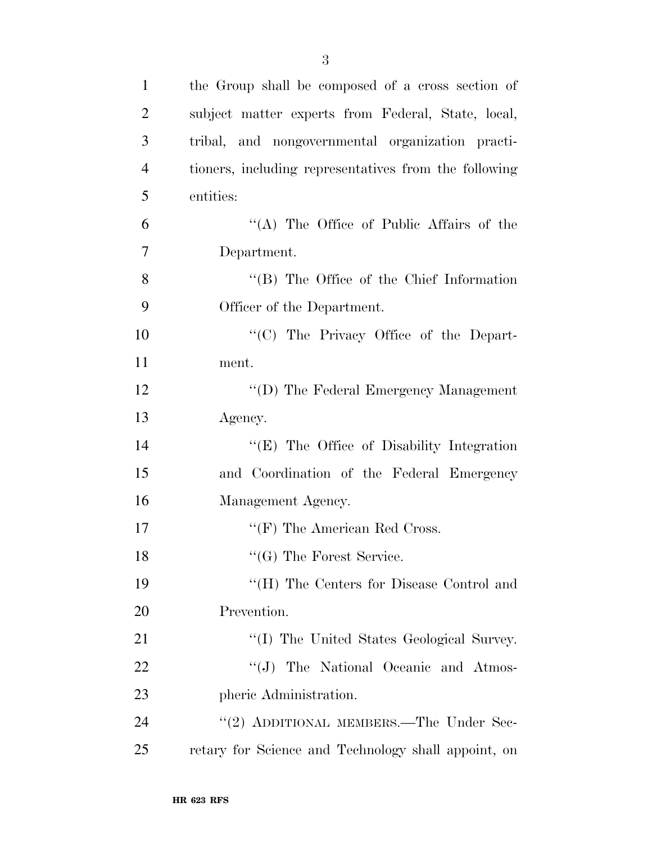| $\mathbf{1}$   | the Group shall be composed of a cross section of     |
|----------------|-------------------------------------------------------|
| $\overline{2}$ | subject matter experts from Federal, State, local,    |
| 3              | tribal, and nongovernmental organization practi-      |
| $\overline{4}$ | tioners, including representatives from the following |
| 5              | entities:                                             |
| 6              | "(A) The Office of Public Affairs of the              |
| $\overline{7}$ | Department.                                           |
| 8              | $\lq\lq$ (B) The Office of the Chief Information      |
| 9              | Officer of the Department.                            |
| 10             | "(C) The Privacy Office of the Depart-                |
| 11             | ment.                                                 |
| 12             | "(D) The Federal Emergency Management                 |
| 13             | Agency.                                               |
| 14             | "(E) The Office of Disability Integration             |
| 15             | and Coordination of the Federal Emergency             |
| 16             | Management Agency.                                    |
| 17             | $\lq\lq(F)$ The American Red Cross.                   |
| 18             | $\lq\lq$ (G) The Forest Service.                      |
| 19             | "(H) The Centers for Disease Control and              |
| 20             | Prevention.                                           |
| 21             | "(I) The United States Geological Survey.             |
| 22             | "(J) The National Oceanic and Atmos-                  |
| 23             | pheric Administration.                                |
| 24             | "(2) ADDITIONAL MEMBERS.—The Under Sec-               |
| 25             | retary for Science and Technology shall appoint, on   |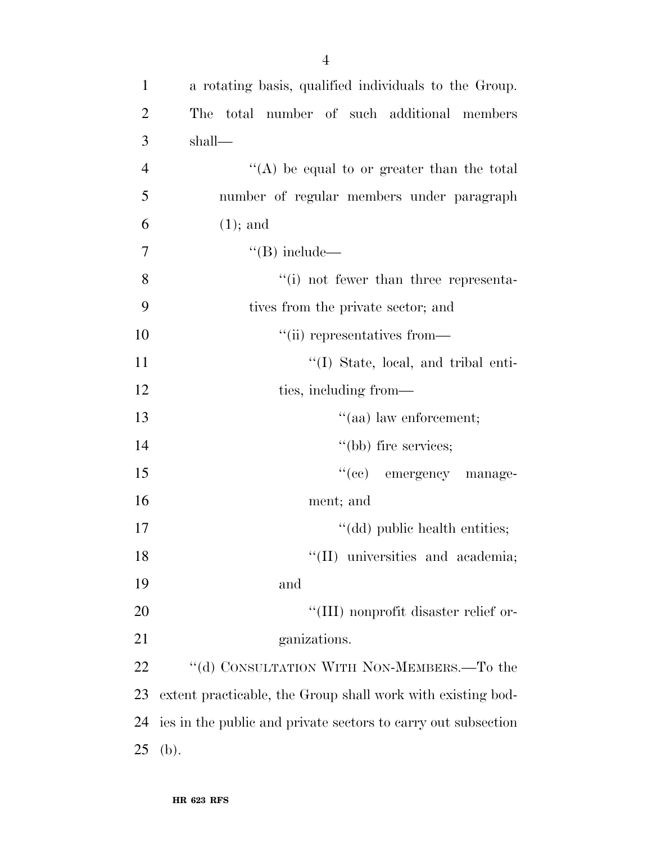| $\mathbf{1}$   | a rotating basis, qualified individuals to the Group.         |
|----------------|---------------------------------------------------------------|
| 2              | total number of such additional members<br>The                |
| 3              | shall—                                                        |
| $\overline{4}$ | "(A) be equal to or greater than the total                    |
| 5              | number of regular members under paragraph                     |
| 6              | $(1)$ ; and                                                   |
| $\overline{7}$ | $\lq\lq(B)$ include—                                          |
| 8              | $\cdot$ (i) not fewer than three representa-                  |
| 9              | tives from the private sector; and                            |
| 10             | "(ii) representatives from—                                   |
| 11             | "(I) State, local, and tribal enti-                           |
| 12             | ties, including from—                                         |
| 13             | $\cdot$ (aa) law enforcement;                                 |
| 14             | "(bb) fire services;                                          |
| 15             | "(cc) emergency manage-                                       |
| 16             | ment; and                                                     |
| 17             | "(dd) public health entities;                                 |
| 18             | "(II) universities and academia;                              |
| 19             | and                                                           |
| 20             | "(III) nonprofit disaster relief or-                          |
| 21             | ganizations.                                                  |
| 22             | "(d) CONSULTATION WITH NON-MEMBERS.-To the                    |
| 23             | extent practicable, the Group shall work with existing bod-   |
| 24             | ies in the public and private sectors to carry out subsection |
| 25             | (b).                                                          |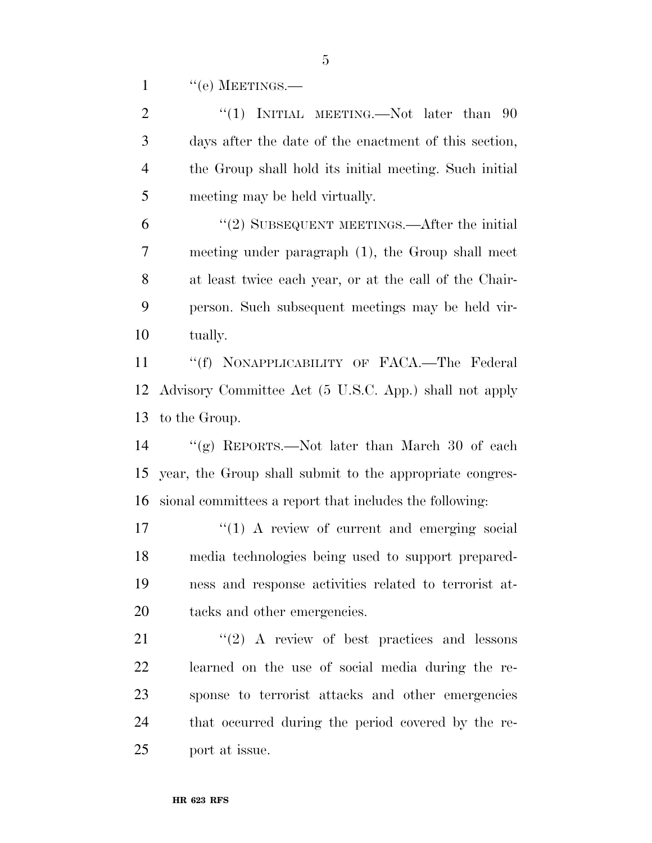1 "(e) MEETINGS.—

| $\overline{2}$ | "(1) INITIAL MEETING.—Not later than $90$                   |
|----------------|-------------------------------------------------------------|
| 3              | days after the date of the enactment of this section,       |
| $\overline{4}$ | the Group shall hold its initial meeting. Such initial      |
| 5              | meeting may be held virtually.                              |
| 6              | $\cdot\cdot\cdot(2)$ SUBSEQUENT MEETINGS.—After the initial |
| 7              | meeting under paragraph (1), the Group shall meet           |
| $8\,$          | at least twice each year, or at the call of the Chair-      |
| 9              | person. Such subsequent meetings may be held vir-           |
| 10             | tually.                                                     |
| 11             | "(f) NONAPPLICABILITY OF FACA.—The Federal                  |
| 12             | Advisory Committee Act (5 U.S.C. App.) shall not apply      |
| 13             | to the Group.                                               |
| 14             | "(g) REPORTS.—Not later than March 30 of each               |
| 15             | year, the Group shall submit to the appropriate congres-    |
| 16             | sional committees a report that includes the following:     |
| 17             | $\lq(1)$ A review of current and emerging social            |
| 18             | media technologies being used to support prepared-          |
| 19             | ness and response activities related to terrorist at-       |
| 20             | tacks and other emergencies.                                |
| 21             | $\lq(2)$ A review of best practices and lessons             |
| 22             | learned on the use of social media during the re-           |
| 23             | sponse to terrorist attacks and other emergencies           |
| 24             | that occurred during the period covered by the re-          |
| 25             | port at issue.                                              |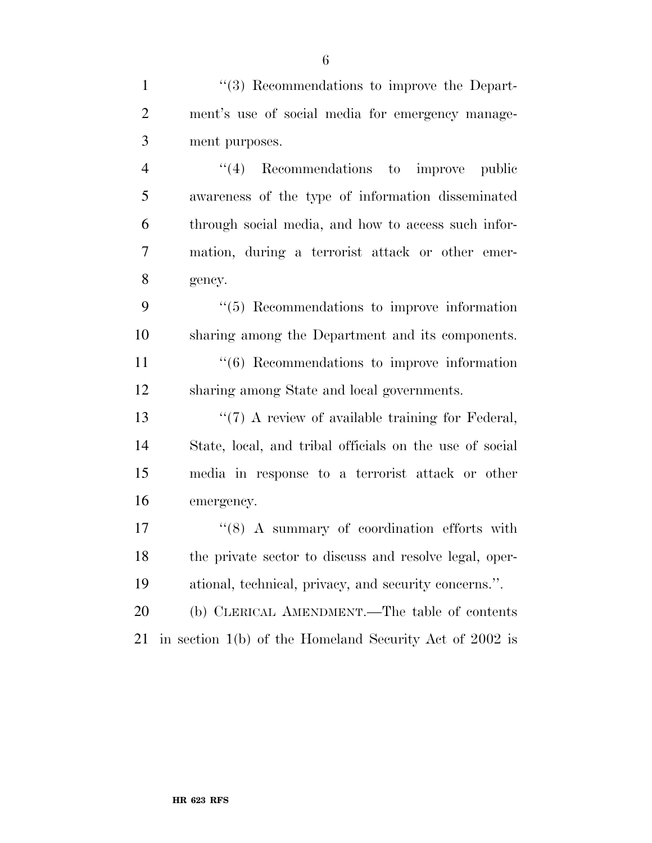1 ''(3) Recommendations to improve the Depart- ment's use of social media for emergency manage-ment purposes.

4 "(4) Recommendations to improve public awareness of the type of information disseminated through social media, and how to access such infor- mation, during a terrorist attack or other emer-gency.

 ''(5) Recommendations to improve information sharing among the Department and its components.

11 ''(6) Recommendations to improve information sharing among State and local governments.

13 ''(7) A review of available training for Federal, State, local, and tribal officials on the use of social media in response to a terrorist attack or other emergency.

17  $\frac{17}{18}$   $\frac{17}{18}$   $\frac{17}{18}$   $\frac{17}{18}$   $\frac{17}{18}$   $\frac{17}{18}$   $\frac{17}{18}$   $\frac{17}{18}$   $\frac{17}{18}$   $\frac{17}{18}$   $\frac{17}{18}$   $\frac{17}{18}$   $\frac{17}{18}$   $\frac{17}{18}$   $\frac{17}{18}$   $\frac{17}{18}$   $\frac{17}{18}$   $\frac{17}{18}$   $\frac$  the private sector to discuss and resolve legal, oper-ational, technical, privacy, and security concerns.''.

 (b) CLERICAL AMENDMENT.—The table of contents in section 1(b) of the Homeland Security Act of 2002 is